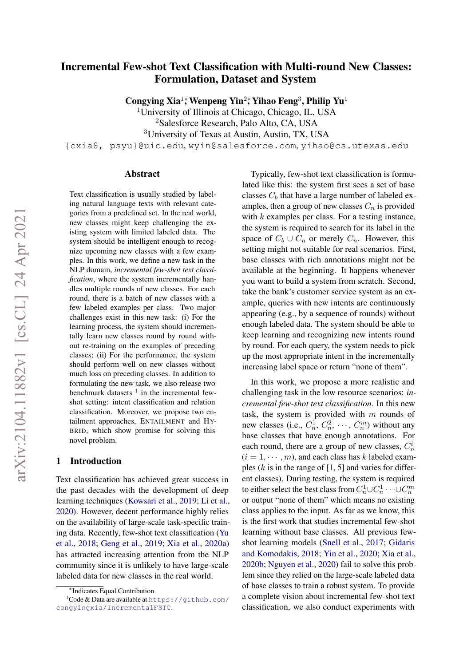# Incremental Few-shot Text Classification with Multi-round New Classes: Formulation, Dataset and System

Congying Xia<sup>1</sup>; Wenpeng Yin<sup>2</sup>; Yihao Feng<sup>3</sup>, Philip Yu<sup>1</sup>

<sup>1</sup>University of Illinois at Chicago, Chicago, IL, USA

<sup>2</sup>Salesforce Research, Palo Alto, CA, USA

<sup>3</sup>University of Texas at Austin, Austin, TX, USA

{cxia8, psyu}@uic.edu, wyin@salesforce.com, yihao@cs.utexas.edu

#### Abstract

Text classification is usually studied by labeling natural language texts with relevant categories from a predefined set. In the real world, new classes might keep challenging the existing system with limited labeled data. The system should be intelligent enough to recognize upcoming new classes with a few examples. In this work, we define a new task in the NLP domain, *incremental few-shot text classification*, where the system incrementally handles multiple rounds of new classes. For each round, there is a batch of new classes with a few labeled examples per class. Two major challenges exist in this new task: (i) For the learning process, the system should incrementally learn new classes round by round without re-training on the examples of preceding classes; (ii) For the performance, the system should perform well on new classes without much loss on preceding classes. In addition to formulating the new task, we also release two benchmark datasets  $\frac{1}{1}$  $\frac{1}{1}$  $\frac{1}{1}$  in the incremental fewshot setting: intent classification and relation classification. Moreover, we propose two entailment approaches, ENTAILMENT and HY-BRID, which show promise for solving this novel problem.

### 1 Introduction

Text classification has achieved great success in the past decades with the development of deep learning techniques [\(Kowsari et al.,](#page-8-0) [2019;](#page-8-0) [Li et al.,](#page-8-1) [2020\)](#page-8-1). However, decent performance highly relies on the availability of large-scale task-specific training data. Recently, few-shot text classification [\(Yu](#page-9-0) [et al.,](#page-9-0) [2018;](#page-9-0) [Geng et al.,](#page-8-2) [2019;](#page-8-2) [Xia et al.,](#page-9-1) [2020a\)](#page-9-1) has attracted increasing attention from the NLP community since it is unlikely to have large-scale labeled data for new classes in the real world.

Typically, few-shot text classification is formulated like this: the system first sees a set of base classes  $C_b$  that have a large number of labeled examples, then a group of new classes  $C_n$  is provided with  $k$  examples per class. For a testing instance, the system is required to search for its label in the space of  $C_b \cup C_n$  or merely  $C_n$ . However, this setting might not suitable for real scenarios. First, base classes with rich annotations might not be available at the beginning. It happens whenever you want to build a system from scratch. Second, take the bank's customer service system as an example, queries with new intents are continuously appearing (e.g., by a sequence of rounds) without enough labeled data. The system should be able to keep learning and recognizing new intents round by round. For each query, the system needs to pick up the most appropriate intent in the incrementally increasing label space or return "none of them".

In this work, we propose a more realistic and challenging task in the low resource scenarios: *incremental few-shot text classification*. In this new task, the system is provided with  $m$  rounds of new classes (i.e.,  $C_n^1$ ,  $C_n^2$ ,  $\cdots$ ,  $C_n^m$ ) without any base classes that have enough annotations. For each round, there are a group of new classes,  $C_n^i$  $(i = 1, \dots, m)$ , and each class has k labeled examples  $(k \text{ is in the range of } [1, 5]$  and varies for different classes). During testing, the system is required to either select the best class from  $C_n^1 \cup C_n^1 \cdots \cup C_n^m$ or output "none of them" which means no existing class applies to the input. As far as we know, this is the first work that studies incremental few-shot learning without base classes. All previous fewshot learning models [\(Snell et al.,](#page-8-3) [2017;](#page-8-3) [Gidaris](#page-8-4) [and Komodakis,](#page-8-4) [2018;](#page-8-4) [Yin et al.,](#page-9-2) [2020;](#page-9-2) [Xia et al.,](#page-9-3) [2020b;](#page-9-3) [Nguyen et al.,](#page-8-5) [2020\)](#page-8-5) fail to solve this problem since they relied on the large-scale labeled data of base classes to train a robust system. To provide a complete vision about incremental few-shot text classification, we also conduct experiments with

<span id="page-0-0"></span><sup>∗</sup> Indicates Equal Contribution.

 $1$ Code & Data are available at [https://github.com/](https://github.com/congyingxia/IncrementalFSTC) [congyingxia/IncrementalFSTC](https://github.com/congyingxia/IncrementalFSTC).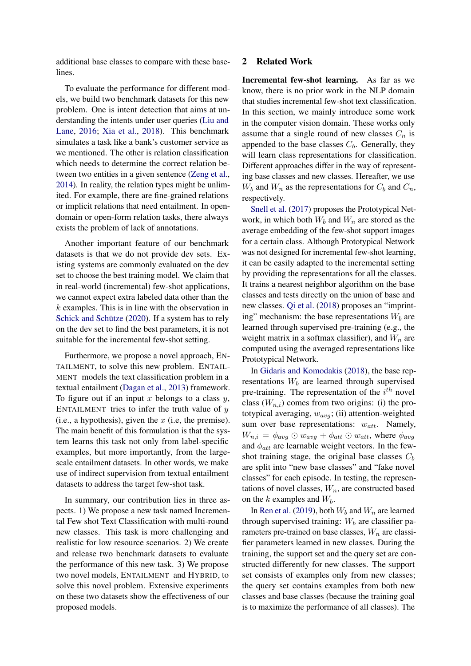additional base classes to compare with these baselines.

To evaluate the performance for different models, we build two benchmark datasets for this new problem. One is intent detection that aims at understanding the intents under user queries [\(Liu and](#page-8-6) [Lane,](#page-8-6) [2016;](#page-8-6) [Xia et al.,](#page-9-4) [2018\)](#page-9-4). This benchmark simulates a task like a bank's customer service as we mentioned. The other is relation classification which needs to determine the correct relation between two entities in a given sentence [\(Zeng et al.,](#page-9-5) [2014\)](#page-9-5). In reality, the relation types might be unlimited. For example, there are fine-grained relations or implicit relations that need entailment. In opendomain or open-form relation tasks, there always exists the problem of lack of annotations.

Another important feature of our benchmark datasets is that we do not provide dev sets. Existing systems are commonly evaluated on the dev set to choose the best training model. We claim that in real-world (incremental) few-shot applications, we cannot expect extra labeled data other than the  $k$  examples. This is in line with the observation in [Schick and Schütze](#page-8-7) [\(2020\)](#page-8-7). If a system has to rely on the dev set to find the best parameters, it is not suitable for the incremental few-shot setting.

Furthermore, we propose a novel approach, EN-TAILMENT, to solve this new problem. ENTAIL-MENT models the text classification problem in a textual entailment [\(Dagan et al.,](#page-8-8) [2013\)](#page-8-8) framework. To figure out if an input x belongs to a class  $y$ , ENTAILMENT tries to infer the truth value of  $y$ (i.e., a hypothesis), given the  $x$  (i.e., the premise). The main benefit of this formulation is that the system learns this task not only from label-specific examples, but more importantly, from the largescale entailment datasets. In other words, we make use of indirect supervision from textual entailment datasets to address the target few-shot task.

In summary, our contribution lies in three aspects. 1) We propose a new task named Incremental Few shot Text Classification with multi-round new classes. This task is more challenging and realistic for low resource scenarios. 2) We create and release two benchmark datasets to evaluate the performance of this new task. 3) We propose two novel models, ENTAILMENT and HYBRID, to solve this novel problem. Extensive experiments on these two datasets show the effectiveness of our proposed models.

## <span id="page-1-0"></span>2 Related Work

Incremental few-shot learning. As far as we know, there is no prior work in the NLP domain that studies incremental few-shot text classification. In this section, we mainly introduce some work in the computer vision domain. These works only assume that a single round of new classes  $C_n$  is appended to the base classes  $C_b$ . Generally, they will learn class representations for classification. Different approaches differ in the way of representing base classes and new classes. Hereafter, we use  $W_b$  and  $W_n$  as the representations for  $C_b$  and  $C_n$ , respectively.

[Snell et al.](#page-8-3) [\(2017\)](#page-8-3) proposes the Prototypical Network, in which both  $W_b$  and  $W_n$  are stored as the average embedding of the few-shot support images for a certain class. Although Prototypical Network was not designed for incremental few-shot learning, it can be easily adapted to the incremental setting by providing the representations for all the classes. It trains a nearest neighbor algorithm on the base classes and tests directly on the union of base and new classes. [Qi et al.](#page-8-9) [\(2018\)](#page-8-9) proposes an "imprinting" mechanism: the base representations  $W_b$  are learned through supervised pre-training (e.g., the weight matrix in a softmax classifier), and  $W_n$  are computed using the averaged representations like Prototypical Network.

In [Gidaris and Komodakis](#page-8-4) [\(2018\)](#page-8-4), the base representations  $W_b$  are learned through supervised pre-training. The representation of the  $i^{th}$  novel class  $(W_{n,i})$  comes from two origins: (i) the prototypical averaging,  $w_{avg}$ ; (ii) attention-weighted sum over base representations:  $w_{att}$ . Namely,  $W_{n,i} = \phi_{avg} \odot w_{avg} + \phi_{att} \odot w_{att}$ , where  $\phi_{avg}$ and  $\phi_{att}$  are learnable weight vectors. In the fewshot training stage, the original base classes  $C_b$ are split into "new base classes" and "fake novel classes" for each episode. In testing, the representations of novel classes,  $W_n$ , are constructed based on the k examples and  $W_b$ .

In [Ren et al.](#page-8-10) [\(2019\)](#page-8-10), both  $W_b$  and  $W_n$  are learned through supervised training:  $W_b$  are classifier parameters pre-trained on base classes,  $W_n$  are classifier parameters learned in new classes. During the training, the support set and the query set are constructed differently for new classes. The support set consists of examples only from new classes; the query set contains examples from both new classes and base classes (because the training goal is to maximize the performance of all classes). The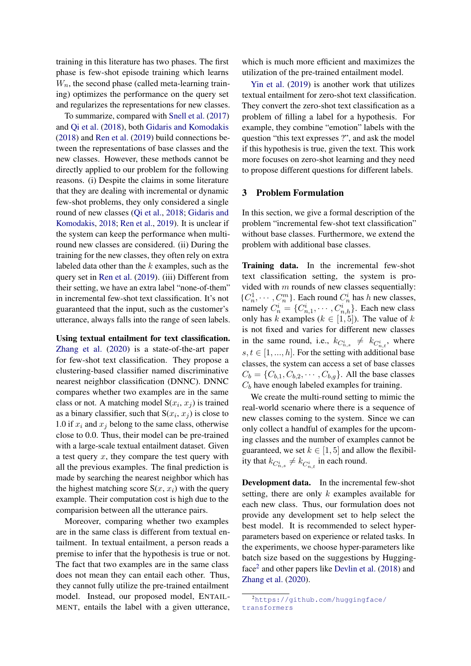training in this literature has two phases. The first phase is few-shot episode training which learns  $W_n$ , the second phase (called meta-learning training) optimizes the performance on the query set and regularizes the representations for new classes.

To summarize, compared with [Snell et al.](#page-8-3) [\(2017\)](#page-8-3) and [Qi et al.](#page-8-9) [\(2018\)](#page-8-9), both [Gidaris and Komodakis](#page-8-4) [\(2018\)](#page-8-4) and [Ren et al.](#page-8-10) [\(2019\)](#page-8-10) build connections between the representations of base classes and the new classes. However, these methods cannot be directly applied to our problem for the following reasons. (i) Despite the claims in some literature that they are dealing with incremental or dynamic few-shot problems, they only considered a single round of new classes [\(Qi et al.,](#page-8-9) [2018;](#page-8-9) [Gidaris and](#page-8-4) [Komodakis,](#page-8-4) [2018;](#page-8-4) [Ren et al.,](#page-8-10) [2019\)](#page-8-10). It is unclear if the system can keep the performance when multiround new classes are considered. (ii) During the training for the new classes, they often rely on extra labeled data other than the  $k$  examples, such as the query set in [Ren et al.](#page-8-10) [\(2019\)](#page-8-10). (iii) Different from their setting, we have an extra label "none-of-them" in incremental few-shot text classification. It's not guaranteed that the input, such as the customer's utterance, always falls into the range of seen labels.

Using textual entailment for text classification. [Zhang et al.](#page-9-6) [\(2020\)](#page-9-6) is a state-of-the-art paper for few-shot text classification. They propose a clustering-based classifier named discriminative nearest neighbor classification (DNNC). DNNC compares whether two examples are in the same class or not. A matching model  $S(x_i, x_j)$  is trained as a binary classifier, such that  $S(x_i, x_j)$  is close to 1.0 if  $x_i$  and  $x_j$  belong to the same class, otherwise close to 0.0. Thus, their model can be pre-trained with a large-scale textual entailment dataset. Given a test query  $x$ , they compare the test query with all the previous examples. The final prediction is made by searching the nearest neighbor which has the highest matching score  $S(x, x_i)$  with the query example. Their computation cost is high due to the comparision between all the utterance pairs.

Moreover, comparing whether two examples are in the same class is different from textual entailment. In textual entailment, a person reads a premise to infer that the hypothesis is true or not. The fact that two examples are in the same class does not mean they can entail each other. Thus, they cannot fully utilize the pre-trained entailment model. Instead, our proposed model, ENTAIL-MENT, entails the label with a given utterance, which is much more efficient and maximizes the utilization of the pre-trained entailment model.

[Yin et al.](#page-9-7) [\(2019\)](#page-9-7) is another work that utilizes textual entailment for zero-shot text classification. They convert the zero-shot text classification as a problem of filling a label for a hypothesis. For example, they combine "emotion" labels with the question "this text expresses ?", and ask the model if this hypothesis is true, given the text. This work more focuses on zero-shot learning and they need to propose different questions for different labels.

### <span id="page-2-1"></span>3 Problem Formulation

In this section, we give a formal description of the problem "incremental few-shot text classification" without base classes. Furthermore, we extend the problem with additional base classes.

Training data. In the incremental few-shot text classification setting, the system is provided with  $m$  rounds of new classes sequentially:  $\{C_n^1, \cdots, C_n^m\}$ . Each round  $C_n^i$  has h new classes, namely  $C_n^i = \{C_{n,1}^i, \cdots, C_{n,h}^i\}$ . Each new class only has k examples ( $k \in [1, 5]$ ). The value of k is not fixed and varies for different new classes in the same round, i.e.,  $k_{C_{n,s}^i} \neq k_{C_{n,t}^i}$ , where  $s, t \in [1, ..., h]$ . For the setting with additional base classes, the system can access a set of base classes  $C_b = \{C_{b,1}, C_{b,2}, \cdots, C_{b,g}\}.$  All the base classes  $C_b$  have enough labeled examples for training.

We create the multi-round setting to mimic the real-world scenario where there is a sequence of new classes coming to the system. Since we can only collect a handful of examples for the upcoming classes and the number of examples cannot be guaranteed, we set  $k \in [1, 5]$  and allow the flexibility that  $k_{C_{n,s}^i} \neq k_{C_{n,t}^i}$  in each round.

Development data. In the incremental few-shot setting, there are only  $k$  examples available for each new class. Thus, our formulation does not provide any development set to help select the best model. It is recommended to select hyperparameters based on experience or related tasks. In the experiments, we choose hyper-parameters like batch size based on the suggestions by Hugging-face<sup>[2](#page-2-0)</sup> and other papers like [Devlin et al.](#page-8-11) [\(2018\)](#page-8-11) and [Zhang et al.](#page-9-6) [\(2020\)](#page-9-6).

<span id="page-2-0"></span><sup>2</sup>[https://github.com/huggingface/](https://github.com/huggingface/transformers) [transformers](https://github.com/huggingface/transformers)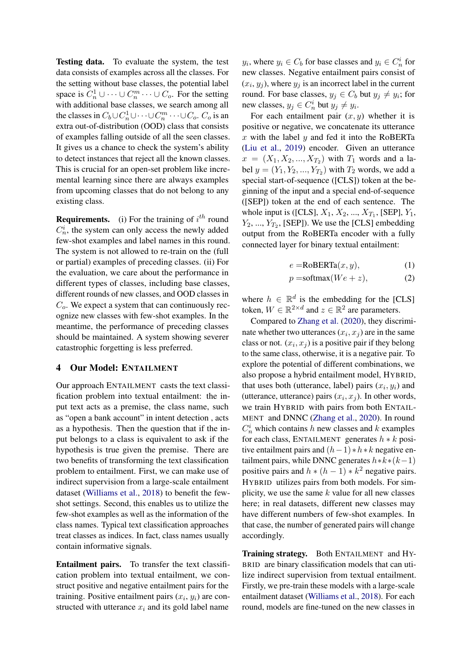Testing data. To evaluate the system, the test data consists of examples across all the classes. For the setting without base classes, the potential label space is  $C_n^1 \cup \cdots \cup C_n^m \cdots \cup C_o$ . For the setting with additional base classes, we search among all the classes in  $C_b \cup C_n^1 \cup \cdots \cup C_n^m \cdots \cup C_o$ .  $C_o$  is an extra out-of-distribution (OOD) class that consists of examples falling outside of all the seen classes. It gives us a chance to check the system's ability to detect instances that reject all the known classes. This is crucial for an open-set problem like incremental learning since there are always examples from upcoming classes that do not belong to any existing class.

**Requirements.** (i) For the training of  $i^{th}$  round  $C_n^i$ , the system can only access the newly added few-shot examples and label names in this round. The system is not allowed to re-train on the (full or partial) examples of preceding classes. (ii) For the evaluation, we care about the performance in different types of classes, including base classes, different rounds of new classes, and OOD classes in  $C<sub>o</sub>$ . We expect a system that can continuously recognize new classes with few-shot examples. In the meantime, the performance of preceding classes should be maintained. A system showing severer catastrophic forgetting is less preferred.

### 4 Our Model: ENTAILMENT

Our approach ENTAILMENT casts the text classification problem into textual entailment: the input text acts as a premise, the class name, such as "open a bank account" in intent detection , acts as a hypothesis. Then the question that if the input belongs to a class is equivalent to ask if the hypothesis is true given the premise. There are two benefits of transforming the text classification problem to entailment. First, we can make use of indirect supervision from a large-scale entailment dataset [\(Williams et al.,](#page-9-8) [2018\)](#page-9-8) to benefit the fewshot settings. Second, this enables us to utilize the few-shot examples as well as the information of the class names. Typical text classification approaches treat classes as indices. In fact, class names usually contain informative signals.

Entailment pairs. To transfer the text classification problem into textual entailment, we construct positive and negative entailment pairs for the training. Positive entailment pairs  $(x_i, y_i)$  are constructed with utterance  $x_i$  and its gold label name

 $y_i$ , where  $y_i \in C_b$  for base classes and  $y_i \in C_n^i$  for new classes. Negative entailment pairs consist of  $(x_i, y_j)$ , where  $y_j$  is an incorrect label in the current round. For base classes,  $y_j \in C_b$  but  $y_j \neq y_i$ ; for new classes,  $y_j \in C_n^i$  but  $y_j \neq y_i$ .

For each entailment pair  $(x, y)$  whether it is positive or negative, we concatenate its utterance x with the label  $y$  and fed it into the RoBERTa [\(Liu et al.,](#page-8-12) [2019\)](#page-8-12) encoder. Given an utterance  $x = (X_1, X_2, ..., X_{T_2})$  with  $T_1$  words and a label  $y = (Y_1, Y_2, ..., Y_{T_2})$  with  $T_2$  words, we add a special start-of-sequence ([CLS]) token at the beginning of the input and a special end-of-sequence ([SEP]) token at the end of each sentence. The whole input is ([CLS],  $X_1, X_2, ..., X_{T_1}$ , [SEP],  $Y_1$ ,  $Y_2, ..., Y_{T_2}$ , [SEP]). We use the [CLS] embedding output from the RoBERTa encoder with a fully connected layer for binary textual entailment:

$$
e = \text{RoBERTa}(x, y), \tag{1}
$$

$$
p = \text{softmax}(We + z), \tag{2}
$$

where  $h \in \mathbb{R}^d$  is the embedding for the [CLS] token,  $W \in \mathbb{R}^{2 \times d}$  and  $z \in \mathbb{R}^2$  are parameters.

Compared to [Zhang et al.](#page-9-6) [\(2020\)](#page-9-6), they discriminate whether two utterances  $(x_i, x_j)$  are in the same class or not.  $(x_i, x_j)$  is a positive pair if they belong to the same class, otherwise, it is a negative pair. To explore the potential of different combinations, we also propose a hybrid entailment model, HYBRID, that uses both (utterance, label) pairs  $(x_i, y_i)$  and (utterance, utterance) pairs  $(x_i, x_j)$ . In other words, we train HYBRID with pairs from both ENTAIL-MENT and DNNC [\(Zhang et al.,](#page-9-6) [2020\)](#page-9-6). In round  $C_n^i$  which contains h new classes and k examples for each class, ENTAILMENT generates  $h * k$  positive entailment pairs and  $(h-1) * h * k$  negative entailment pairs, while DNNC generates  $h*k*(k-1)$ positive pairs and  $h * (h - 1) * k^2$  negative pairs. HYBRID utilizes pairs from both models. For simplicity, we use the same  $k$  value for all new classes here; in real datasets, different new classes may have different numbers of few-shot examples. In that case, the number of generated pairs will change accordingly.

Training strategy. Both ENTAILMENT and HY-BRID are binary classification models that can utilize indirect supervision from textual entailment. Firstly, we pre-train these models with a large-scale entailment dataset [\(Williams et al.,](#page-9-8) [2018\)](#page-9-8). For each round, models are fine-tuned on the new classes in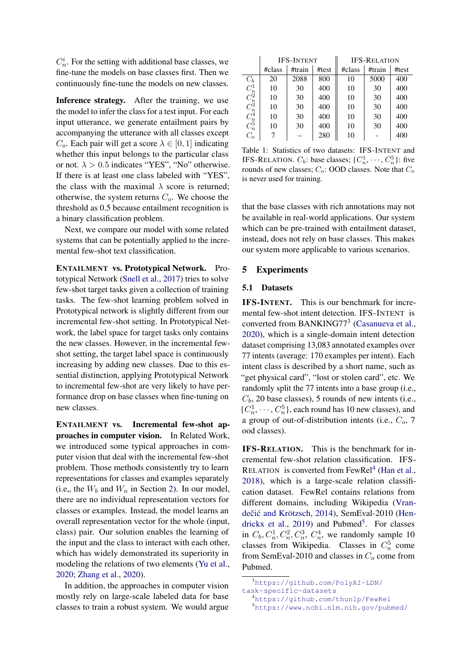$C_n^i$ . For the setting with additional base classes, we fine-tune the models on base classes first. Then we continuously fine-tune the models on new classes.

Inference strategy. After the training, we use the model to infer the class for a test input. For each input utterance, we generate entailment pairs by accompanying the utterance with all classes except  $C<sub>o</sub>$ . Each pair will get a score  $\lambda \in [0, 1]$  indicating whether this input belongs to the particular class or not.  $\lambda > 0.5$  indicates "YES", "No" otherwise. If there is at least one class labeled with "YES", the class with the maximal  $\lambda$  score is returned; otherwise, the system returns  $C<sub>o</sub>$ . We choose the threshold as 0.5 because entailment recognition is a binary classification problem.

Next, we compare our model with some related systems that can be potentially applied to the incremental few-shot text classification.

ENTAILMENT vs. Prototypical Network. Prototypical Network [\(Snell et al.,](#page-8-3) [2017\)](#page-8-3) tries to solve few-shot target tasks given a collection of training tasks. The few-shot learning problem solved in Prototypical network is slightly different from our incremental few-shot setting. In Prototypical Network, the label space for target tasks only contains the new classes. However, in the incremental fewshot setting, the target label space is continuously increasing by adding new classes. Due to this essential distinction, applying Prototypical Network to incremental few-shot are very likely to have performance drop on base classes when fine-tuning on new classes.

ENTAILMENT vs. Incremental few-shot approaches in computer vision. In Related Work, we introduced some typical approaches in computer vision that deal with the incremental few-shot problem. Those methods consistently try to learn representations for classes and examples separately (i.e., the  $W_b$  and  $W_n$  in Section [2\)](#page-1-0). In our model, there are no individual representation vectors for classes or examples. Instead, the model learns an overall representation vector for the whole (input, class) pair. Our solution enables the learning of the input and the class to interact with each other, which has widely demonstrated its superiority in modeling the relations of two elements [\(Yu et al.,](#page-9-9) [2020;](#page-9-9) [Zhang et al.,](#page-9-6) [2020\)](#page-9-6).

In addition, the approaches in computer vision mostly rely on large-scale labeled data for base classes to train a robust system. We would argue

<span id="page-4-3"></span>

|                                                                |        | <b>IFS-INTENT</b> |       | <b>IFS-RELATION</b> |        |       |  |
|----------------------------------------------------------------|--------|-------------------|-------|---------------------|--------|-------|--|
|                                                                | #class | #train            | #test | #class              | #train | #test |  |
| $C_b$                                                          | 20     | 2088              | 800   | 10                  | 5000   | 400   |  |
|                                                                | 10     | 30                | 400   | 10                  | 30     | 400   |  |
| $\displaystyle\begin{array}{c}C_n^1\\ C_n^2\\C_n^3\end{array}$ | 10     | 30                | 400   | 10                  | 30     | 400   |  |
|                                                                | 10     | 30                | 400   | 10                  | 30     | 400   |  |
| $C_n^4$                                                        | 10     | 30                | 400   | 10                  | 30     | 400   |  |
| $C_n^5$                                                        | 10     | 30                | 400   | 10                  | 30     | 400   |  |
| $C_{o}$                                                        |        |                   | 280   | 10                  |        | 400   |  |

Table 1: Statistics of two datasets: IFS-INTENT and IFS-RELATION.  $C_b$ : base classes; { $C_n^1, \dots, C_n^5$ }: five rounds of new classes;  $C_o$ : OOD classes. Note that  $C_o$ is never used for training.

that the base classes with rich annotations may not be available in real-world applications. Our system which can be pre-trained with entailment dataset, instead, does not rely on base classes. This makes our system more applicable to various scenarios.

## 5 Experiments

#### 5.1 Datasets

IFS-INTENT. This is our benchmark for incremental few-shot intent detection. IFS-INTENT is converted from BANKING77<sup>[3](#page-4-0)</sup> [\(Casanueva et al.,](#page-8-13) [2020\)](#page-8-13), which is a single-domain intent detection dataset comprising 13,083 annotated examples over 77 intents (average: 170 examples per intent). Each intent class is described by a short name, such as "get physical card", "lost or stolen card", etc. We randomly split the 77 intents into a base group (i.e.,  $C_b$ , 20 base classes), 5 rounds of new intents (i.e.,  $\{C_n^1, \dots, C_n^5\}$ , each round has 10 new classes), and a group of out-of-distribution intents (i.e.,  $C<sub>o</sub>$ , 7 ood classes).

IFS-RELATION. This is the benchmark for incremental few-shot relation classification. IFS-RELATION is converted from FewRel<sup>[4](#page-4-1)</sup> [\(Han et al.,](#page-8-14) [2018\)](#page-8-14), which is a large-scale relation classification dataset. FewRel contains relations from different domains, including Wikipedia [\(Vran-](#page-8-15)dečić and Krötzsch, [2014\)](#page-8-15), SemEval-2010 [\(Hen](#page-8-16)[drickx et al.,](#page-8-16) [2019\)](#page-8-16) and Pubmed<sup>[5](#page-4-2)</sup>. For classes in  $C_b$ ,  $C_n^1$ ,  $C_n^2$ ,  $C_n^3$ ,  $C_n^4$ , we randomly sample 10 classes from Wikipedia. Classes in  $C_n^5$  come from SemEval-2010 and classes in  $C<sub>o</sub>$  come from Pubmed.

<span id="page-4-0"></span><sup>3</sup>[https://github.com/PolyAI-LDN/](https://github.com/PolyAI-LDN/task-specific-datasets)

[task-specific-datasets](https://github.com/PolyAI-LDN/task-specific-datasets)

<span id="page-4-1"></span><sup>4</sup><https://github.com/thunlp/FewRel>

<span id="page-4-2"></span><sup>5</sup><https://www.ncbi.nlm.nih.gov/pubmed/>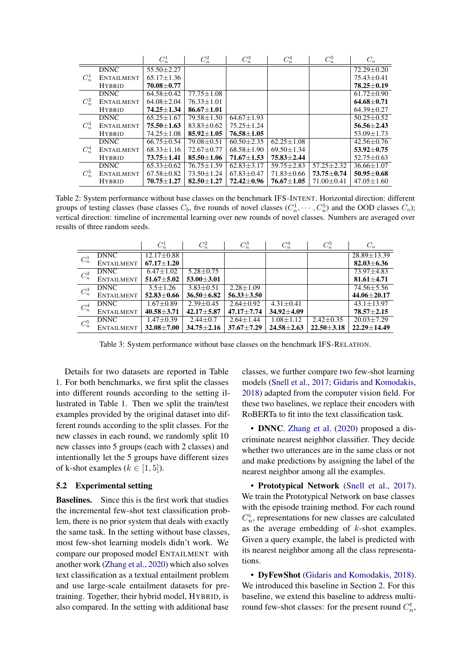<span id="page-5-0"></span>

|         |                   | $C_n^1$          | $C_n^2$          | $C_n^3$          | $C_n^4$          | $C^5_n$          | $C_{o}$          |
|---------|-------------------|------------------|------------------|------------------|------------------|------------------|------------------|
| $C_n^1$ | <b>DNNC</b>       | $55.50 + 2.27$   |                  |                  |                  |                  | $72.29 + 0.20$   |
|         | <b>ENTAILMENT</b> | $65.17 \pm 1.36$ |                  |                  |                  |                  | $75.43 \pm 0.41$ |
|         | <b>HYBRID</b>     | $70.08 \pm 0.77$ |                  |                  |                  |                  | 78.25±0.19       |
|         | <b>DNNC</b>       | $64.58 + 0.42$   | $77.75 + 1.08$   |                  |                  |                  | $61.72 + 0.90$   |
| $C_n^2$ | <b>ENTAILMENT</b> | $64.08 \pm 2.04$ | $76.33 + 1.01$   |                  |                  |                  | $64.68 + 0.71$   |
|         | <b>HYBRID</b>     | 74.25±1.34       | $86.67 \pm 1.01$ |                  |                  |                  | $64.39 \pm 0.27$ |
|         | <b>DNNC</b>       | $65.25 + 1.67$   | $79.58 \pm 1.50$ | $64.67 + 1.93$   |                  |                  | $50.25 + 0.52$   |
| $C_n^3$ | <b>ENTAILMENT</b> | $75.50 \pm 1.63$ | $83.83 \pm 0.62$ | $75.25 + 1.24$   |                  |                  | $56.56 \pm 2.43$ |
|         | <b>HYBRID</b>     | $74.25 \pm 1.08$ | $85.92 \pm 1.05$ | $76.58 \pm 1.05$ |                  |                  | $53.09 \pm 1.73$ |
| $C_n^4$ | <b>DNNC</b>       | $66.75 + 0.54$   | $79.08 \pm 0.51$ | $60.50 + 2.35$   | $62.25 + 1.08$   |                  | $42.56 + 0.76$   |
|         | <b>ENTAILMENT</b> | $68.33 \pm 1.16$ | $72.67 \pm 0.77$ | $68.58 \pm 1.90$ | $69.50 \pm 1.34$ |                  | $53.92 \pm 0.75$ |
|         | <b>HYBRID</b>     | $73.75 + 1.41$   | $85.50 \pm 1.06$ | $71.67 \pm 1.53$ | $75.83 + 2.44$   |                  | $52.75 \pm 0.63$ |
| $C_n^5$ | <b>DNNC</b>       | $65.33 + 0.62$   | $76.75 \pm 1.59$ | $62.83 + 3.17$   | $59.75 + 2.83$   | $57.25 \pm 2.32$ | $36.66 + 1.07$   |
|         | <b>ENTAILMENT</b> | $67.58 \pm 0.82$ | 73.50 ± 1.24     | $67.83 \pm 0.47$ | $71.83 \pm 0.66$ | $73.75 \pm 0.74$ | $50.95 \pm 0.68$ |
|         | <b>HYBRID</b>     | $70.75 \pm 1.27$ | $82.50 \pm 1.27$ | $72.42 \pm 0.96$ | $76.67 \pm 1.05$ | $71.00 \pm 0.41$ | $47.05 \pm 1.60$ |

Table 2: System performance without base classes on the benchmark IFS-INTENT. Horizontal direction: different groups of testing classes (base classes  $C_b$ , five rounds of novel classes  $(C_n^1, \dots, C_n^5)$  and the OOD classes  $C_o$ ); vertical direction: timeline of incremental learning over new rounds of novel classes. Numbers are averaged over results of three random seeds.

<span id="page-5-1"></span>

|                   |                   | $C_n^1$          | $C_n^2$          | $C_n^3$          | $C_n^4$          | $C_n^5$          | $C_{\alpha}$      |
|-------------------|-------------------|------------------|------------------|------------------|------------------|------------------|-------------------|
| $C_n^1$           | <b>DNNC</b>       | $12.17 \pm 0.88$ |                  |                  |                  |                  | $28.89 \pm 13.39$ |
|                   | <b>ENTAILMENT</b> | $67.17 \pm 1.20$ |                  |                  |                  |                  | $82.03 \pm 6.36$  |
| $C_n^2$           | <b>DNNC</b>       | $6.47 \pm 1.02$  | $5.28 \pm 0.75$  |                  |                  |                  | $73.97 + 4.83$    |
|                   | ENTAILMENT        | $51.67 \pm 5.02$ | $53.00 \pm 3.01$ |                  |                  |                  | $81.61 \pm 4.71$  |
| $\mathbb{C}^3_n$  | <b>DNNC</b>       | $3.5 \pm 1.26$   | $3.83 \pm 0.51$  | $2.28 + 1.09$    |                  |                  | 74.56±5.56        |
|                   | <b>ENTAILMENT</b> | $52.83 \pm 0.66$ | $36.50 \pm 6.82$ | $56.33 \pm 3.50$ |                  |                  | $44.06 \pm 20.17$ |
| $C_n^4$           | <b>DNNC</b>       | $1.67 \pm 0.89$  | $2.39 \pm 0.45$  | $2.64 \pm 0.92$  | $4.31 + 0.41$    |                  | $43.1 \pm 13.97$  |
|                   | <b>ENTAILMENT</b> | $40.58 \pm 3.71$ | $42.17 + 5.87$   | $47.17 \pm 7.74$ | $34.92 + 4.09$   |                  | $78.57 + 2.15$    |
| $\mathcal{C}_n^5$ | <b>DNNC</b>       | $1.47 \pm 0.39$  | $2.44 \pm 0.7$   | $2.64 + 1.44$    | $1.08 + 1.12$    | $2.42 \pm 0.35$  | $20.03 + 7.29$    |
|                   | <b>ENTAILMENT</b> | $32.08 \pm 7.00$ | $34.75 \pm 2.16$ | $37.67 + 7.29$   | $24.58 \pm 2.63$ | $22.50 \pm 3.18$ | $22.29 + 14.49$   |

Table 3: System performance without base classes on the benchmark IFS-RELATION.

Details for two datasets are reported in Table [1.](#page-4-3) For both benchmarks, we first split the classes into different rounds according to the setting illustrated in Table [1.](#page-4-3) Then we split the train/test examples provided by the original dataset into different rounds according to the split classes. For the new classes in each round, we randomly split 10 new classes into 5 groups (each with 2 classes) and intentionally let the 5 groups have different sizes of k-shot examples ( $k \in [1, 5]$ ).

#### 5.2 Experimental setting

Baselines. Since this is the first work that studies the incremental few-shot text classification problem, there is no prior system that deals with exactly the same task. In the setting without base classes, most few-shot learning models didn't work. We compare our proposed model ENTAILMENT with another work [\(Zhang et al.,](#page-9-6) [2020\)](#page-9-6) which also solves text classification as a textual entailment problem and use large-scale entailment datasets for pretraining. Together, their hybrid model, HYBRID, is also compared. In the setting with additional base

classes, we further compare two few-shot learning models [\(Snell et al.,](#page-8-3) [2017;](#page-8-3) [Gidaris and Komodakis,](#page-8-4) [2018\)](#page-8-4) adapted from the computer vision field. For these two baselines, we replace their encoders with RoBERTa to fit into the text classification task.

• DNNC. [Zhang et al.](#page-9-6) [\(2020\)](#page-9-6) proposed a discriminate nearest neighbor classifier. They decide whether two utterances are in the same class or not and make predictions by assigning the label of the nearest neighbor among all the examples.

• Prototypical Network [\(Snell et al.,](#page-8-3) [2017\)](#page-8-3). We train the Prototypical Network on base classes with the episode training method. For each round  $C_n^i$ , representations for new classes are calculated as the average embedding of  $k$ -shot examples. Given a query example, the label is predicted with its nearest neighbor among all the class representations.

• DyFewShot [\(Gidaris and Komodakis,](#page-8-4) [2018\)](#page-8-4). We introduced this baseline in Section [2.](#page-1-0) For this baseline, we extend this baseline to address multiround few-shot classes: for the present round  $C_n^t$ ,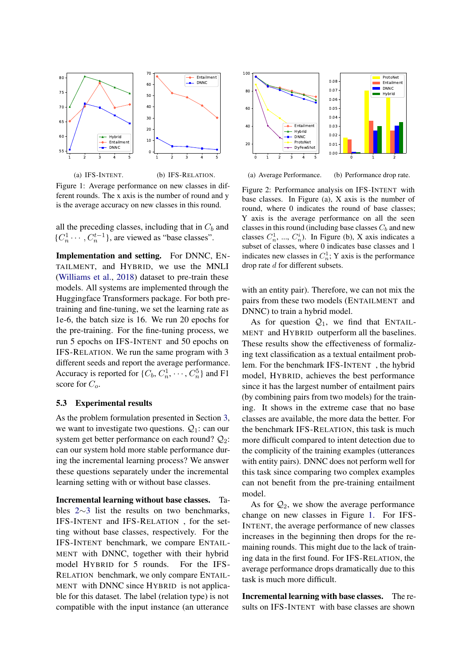<span id="page-6-0"></span>

Figure 1: Average performance on new classes in different rounds. The x axis is the number of round and y is the average accuracy on new classes in this round.

all the preceding classes, including that in  $C_b$  and  $\{C_n^1 \cdots, C_n^{t-1}\}$ , are viewed as "base classes".

Implementation and setting. For DNNC, EN-TAILMENT, and HYBRID, we use the MNLI [\(Williams et al.,](#page-9-8) [2018\)](#page-9-8) dataset to pre-train these models. All systems are implemented through the Huggingface Transformers package. For both pretraining and fine-tuning, we set the learning rate as 1e-6, the batch size is 16. We run 20 epochs for the pre-training. For the fine-tuning process, we run 5 epochs on IFS-INTENT and 50 epochs on IFS-RELATION. We run the same program with 3 different seeds and report the average performance. Accuracy is reported for  $\{C_b, C_n^1, \dots, C_n^5\}$  and F1 score for  $C<sub>o</sub>$ .

## 5.3 Experimental results

As the problem formulation presented in Section [3,](#page-2-1) we want to investigate two questions.  $Q_1$ : can our system get better performance on each round?  $Q_2$ : can our system hold more stable performance during the incremental learning process? We answer these questions separately under the incremental learning setting with or without base classes.

Incremental learning without base classes. Tables [2](#page-5-0)∼[3](#page-5-1) list the results on two benchmarks, IFS-INTENT and IFS-RELATION , for the setting without base classes, respectively. For the IFS-INTENT benchmark, we compare ENTAIL-MENT with DNNC, together with their hybrid model HYBRID for 5 rounds. For the IFS-RELATION benchmark, we only compare ENTAIL-MENT with DNNC since HYBRID is not applicable for this dataset. The label (relation type) is not compatible with the input instance (an utterance

<span id="page-6-1"></span>

(a) Average Performance. (b) Performance drop rate.

Figure 2: Performance analysis on IFS-INTENT with base classes. In Figure (a), X axis is the number of round, where 0 indicates the round of base classes; Y axis is the average performance on all the seen classes in this round (including base classes  $C_b$  and new classes  $C_n^1$ , ...,  $C_n^i$ ). In Figure (b), X axis indicates a subset of classes, where 0 indicates base classes and 1 indicates new classes in  $C_n^1$ ; Y axis is the performance drop rate d for different subsets.

with an entity pair). Therefore, we can not mix the pairs from these two models (ENTAILMENT and DNNC) to train a hybrid model.

As for question  $Q_1$ , we find that ENTAIL-MENT and HYBRID outperform all the baselines. These results show the effectiveness of formalizing text classification as a textual entailment problem. For the benchmark IFS-INTENT , the hybrid model, HYBRID, achieves the best performance since it has the largest number of entailment pairs (by combining pairs from two models) for the training. It shows in the extreme case that no base classes are available, the more data the better. For the benchmark IFS-RELATION, this task is much more difficult compared to intent detection due to the complicity of the training examples (utterances with entity pairs). DNNC does not perform well for this task since comparing two complex examples can not benefit from the pre-training entailment model.

As for  $\mathcal{Q}_2$ , we show the average performance change on new classes in Figure [1.](#page-6-0) For IFS-INTENT, the average performance of new classes increases in the beginning then drops for the remaining rounds. This might due to the lack of training data in the first found. For IFS-RELATION, the average performance drops dramatically due to this task is much more difficult.

Incremental learning with base classes. The results on IFS-INTENT with base classes are shown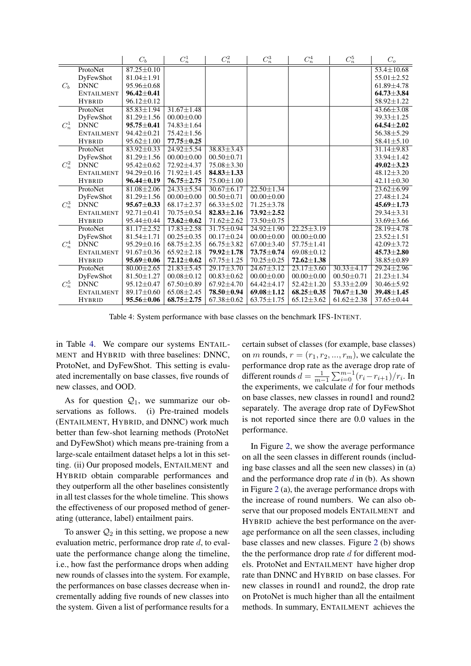<span id="page-7-0"></span>

|         |                   | $C_b$            | $C_n^1$          | $C_n^2$          | $C_n^3$          | $C_n^4$          | $C_n^5$          | $C_o$                   |
|---------|-------------------|------------------|------------------|------------------|------------------|------------------|------------------|-------------------------|
| $C_h$   | ProtoNet          | $87.25 \pm 0.10$ |                  |                  |                  |                  |                  | $53.4 \pm 10.68$        |
|         | DyFewShot         | $81.04 \pm 1.91$ |                  |                  |                  |                  |                  | $55.01 \pm 2.52$        |
|         | <b>DNNC</b>       | $95.96 \pm 0.68$ |                  |                  |                  |                  |                  | $61.89 \pm 4.78$        |
|         | <b>ENTAILMENT</b> | $96.42 \pm 0.41$ |                  |                  |                  |                  |                  | $64.73 \pm 3.84$        |
|         | <b>HYBRID</b>     | $96.12 \pm 0.12$ |                  |                  |                  |                  |                  | $58.92 \pm 1.22$        |
|         | ProtoNet          | $85.83 \pm 1.94$ | $31.67 \pm 1.48$ |                  |                  |                  |                  | $43.66 \pm 3.08$        |
|         | DyFewShot         | $81.29 \pm 1.56$ | $00.00 \pm 0.00$ |                  |                  |                  |                  | $39.33 \pm 1.25$        |
| $C_n^1$ | <b>DNNC</b>       | $95.75 \pm 0.41$ | $74.83 \pm 1.64$ |                  |                  |                  |                  | $64.54 \pm 2.02$        |
|         | <b>ENTAILMENT</b> | $94.42 \pm 0.21$ | $75.42 \pm 1.56$ |                  |                  |                  |                  | $56.38 \pm 5.29$        |
|         | <b>HYBRID</b>     | $95.62 \pm 1.00$ | $77.75 \pm 0.25$ |                  |                  |                  |                  | $58.41 \pm 5.10$        |
|         | ProtoNet          | $83.92 \pm 0.33$ | $24.92 \pm 5.54$ | $38.83 \pm 3.43$ |                  |                  |                  | $31.14 \pm 9.83$        |
|         | DyFewShot         | $81.29 \pm 1.56$ | $00.00 \pm 0.00$ | $00.50 \pm 0.71$ |                  |                  |                  | $33.94 \pm 1.42$        |
| $C_n^2$ | <b>DNNC</b>       | $95.42 \pm 0.62$ | 72.92±4.37       | $75.08 \pm 3.30$ |                  |                  |                  | $49.02 \pm 3.23$        |
|         | <b>ENTAILMENT</b> | $94.29 \pm 0.16$ | $71.92 \pm 1.45$ | $84.83 \pm 1.33$ |                  |                  |                  | $48.12 \pm 3.20$        |
|         | <b>HYBRID</b>     | $96.44 \pm 0.19$ | $76.75 \pm 2.75$ | $75.00 \pm 1.00$ |                  |                  |                  | $42.11 \pm 0.30$        |
|         | ProtoNet          | $81.08 \pm 2.06$ | $24.33 \pm 5.54$ | $30.67 \pm 6.17$ | $22.50 \pm 1.34$ |                  |                  | $\sqrt{23.62} \pm 6.99$ |
|         | DyFewShot         | $81.29 \pm 1.56$ | $00.00 \pm 0.00$ | $00.50 \pm 0.71$ | $00.00 \pm 0.00$ |                  |                  | $27.48 \pm 1.24$        |
| $C_n^3$ | <b>DNNC</b>       | $95.67 \pm 0.33$ | $68.17 \pm 2.37$ | $66.33 \pm 5.02$ | $71.25 \pm 3.78$ |                  |                  | $45.69 \pm 1.73$        |
|         | <b>ENTAILMENT</b> | $92.71 \pm 0.41$ | $70.75 \pm 0.54$ | $82.83 \pm 2.16$ | $73.92 \pm 2.52$ |                  |                  | $29.34 \pm 3.31$        |
|         | <b>HYBRID</b>     | 95.44±0.44       | $73.62 \pm 0.62$ | $71.62 \pm 2.62$ | 73.50 $\pm$ 0.75 |                  |                  | $33.69 \pm 3.66$        |
|         | ProtoNet          | $81.17 \pm 2.52$ | $17.83 \pm 2.58$ | $31.75 \pm 0.94$ | $24.92 \pm 1.90$ | $22.25 \pm 3.19$ |                  | $28.19 \pm 4.78$        |
|         | DyFewShot         | $81.54 \pm 1.71$ | $00.25 \pm 0.35$ | $00.17 \pm 0.24$ | $00.00 \pm 0.00$ | $00.00 \pm 0.00$ |                  | $23.52 \pm 1.51$        |
| $C_n^4$ | <b>DNNC</b>       | $95.29 \pm 0.16$ | $68.75 \pm 2.35$ | $66.75 \pm 3.82$ | $67.00 \pm 3.40$ | $57.75 \pm 1.41$ |                  | $42.09 \pm 3.72$        |
|         | <b>ENTAILMENT</b> | $91.67 \pm 0.36$ | $65.92 \pm 2.18$ | 79.92±1.78       | $73.75 \pm 0.74$ | $69.08 \pm 0.12$ |                  | $45.73 \pm 2.80$        |
|         | <b>HYBRID</b>     | $95.69 \pm 0.06$ | $72.12 \pm 0.62$ | $67.75 \pm 1.25$ | $70.25 \pm 0.25$ | $72.62 \pm 1.38$ |                  | $38.85 \pm 0.89$        |
| $C_n^5$ | ProtoNet          | $80.00 \pm 2.65$ | $21.83 \pm 5.45$ | $29.17 \pm 3.70$ | $24.67 \pm 3.12$ | $23.17 \pm 3.60$ | $30.33 \pm 4.17$ | $29.24 \pm 2.96$        |
|         | DyFewShot         | $81.50 \pm 1.27$ | $00.08 \pm 0.12$ | $00.83 \pm 0.62$ | $00.00 \pm 0.00$ | $00.00 \pm 0.00$ | $00.50 \pm 0.71$ | $21.23 \pm 1.34$        |
|         | <b>DNNC</b>       | $95.12 \pm 0.47$ | $67.50 \pm 0.89$ | $67.92 \pm 4.70$ | $64.42 \pm 4.17$ | $52.42 \pm 1.20$ | $53.33 \pm 2.09$ | $30.46 \pm 5.92$        |
|         | <b>ENTAILMENT</b> | 89.17±0.60       | $65.08 \pm 2.45$ | 78.50 $\pm$ 0.94 | $69.08 \pm 1.12$ | $68.25 \pm 0.35$ | $70.67 \pm 1.30$ | 39.48 ± 1.45            |
|         | <b>HYBRID</b>     | $95.56 \pm 0.06$ | $68.75 \pm 2.75$ | $67.38 \pm 0.62$ | $63.75 \pm 1.75$ | $65.12 \pm 3.62$ | $61.62 \pm 2.38$ | $37.65 \pm 0.44$        |

Table 4: System performance with base classes on the benchmark IFS-INTENT.

in Table [4.](#page-7-0) We compare our systems ENTAIL-MENT and HYBRID with three baselines: DNNC, ProtoNet, and DyFewShot. This setting is evaluated incrementally on base classes, five rounds of new classes, and OOD.

As for question  $Q_1$ , we summarize our observations as follows. (i) Pre-trained models (ENTAILMENT, HYBRID, and DNNC) work much better than few-shot learning methods (ProtoNet and DyFewShot) which means pre-training from a large-scale entailment dataset helps a lot in this setting. (ii) Our proposed models, ENTAILMENT and HYBRID obtain comparable performances and they outperform all the other baselines consistently in all test classes for the whole timeline. This shows the effectiveness of our proposed method of generating (utterance, label) entailment pairs.

To answer  $\mathcal{Q}_2$  in this setting, we propose a new evaluation metric, performance drop rate d, to evaluate the performance change along the timeline, i.e., how fast the performance drops when adding new rounds of classes into the system. For example, the performances on base classes decrease when incrementally adding five rounds of new classes into the system. Given a list of performance results for a

certain subset of classes (for example, base classes) on m rounds,  $r = (r_1, r_2, ..., r_m)$ , we calculate the performance drop rate as the average drop rate of different rounds  $\tilde{d} = \frac{1}{m-1} \sum_{i=0}^{m-1} (r_i - r_{i+1})/r_i$ . In the experiments, we calculate  $d$  for four methods on base classes, new classes in round1 and round2 separately. The average drop rate of DyFewShot is not reported since there are 0.0 values in the performance.

In Figure [2,](#page-6-1) we show the average performance on all the seen classes in different rounds (including base classes and all the seen new classes) in (a) and the performance drop rate  $d$  in (b). As shown in Figure [2](#page-6-1) (a), the average performance drops with the increase of round numbers. We can also observe that our proposed models ENTAILMENT and HYBRID achieve the best performance on the average performance on all the seen classes, including base classes and new classes. Figure [2](#page-6-1) (b) shows the the performance drop rate  $d$  for different models. ProtoNet and ENTAILMENT have higher drop rate than DNNC and HYBRID on base classes. For new classes in round1 and round2, the drop rate on ProtoNet is much higher than all the entailment methods. In summary, ENTAILMENT achieves the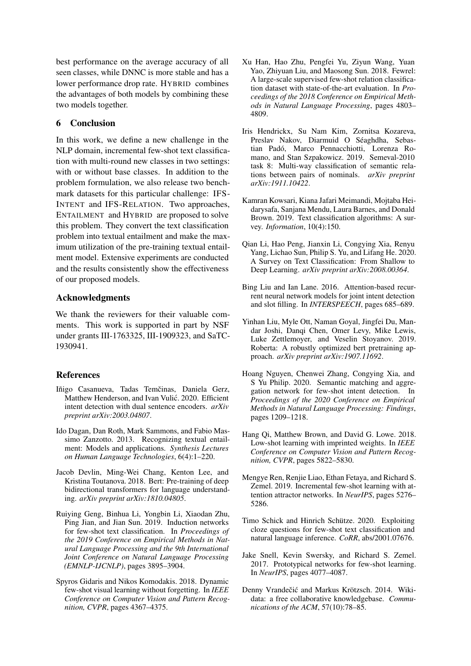best performance on the average accuracy of all seen classes, while DNNC is more stable and has a lower performance drop rate. HYBRID combines the advantages of both models by combining these two models together.

## 6 Conclusion

In this work, we define a new challenge in the NLP domain, incremental few-shot text classification with multi-round new classes in two settings: with or without base classes. In addition to the problem formulation, we also release two benchmark datasets for this particular challenge: IFS-INTENT and IFS-RELATION. Two approaches, ENTAILMENT and HYBRID are proposed to solve this problem. They convert the text classification problem into textual entailment and make the maximum utilization of the pre-training textual entailment model. Extensive experiments are conducted and the results consistently show the effectiveness of our proposed models.

## Acknowledgments

We thank the reviewers for their valuable comments. This work is supported in part by NSF under grants III-1763325, III-1909323, and SaTC-1930941.

## References

- <span id="page-8-13"></span>Iñigo Casanueva, Tadas Temčinas, Daniela Gerz, Matthew Henderson, and Ivan Vulić. 2020. Efficient intent detection with dual sentence encoders. *arXiv preprint arXiv:2003.04807*.
- <span id="page-8-8"></span>Ido Dagan, Dan Roth, Mark Sammons, and Fabio Massimo Zanzotto. 2013. Recognizing textual entailment: Models and applications. *Synthesis Lectures on Human Language Technologies*, 6(4):1–220.
- <span id="page-8-11"></span>Jacob Devlin, Ming-Wei Chang, Kenton Lee, and Kristina Toutanova. 2018. Bert: Pre-training of deep bidirectional transformers for language understanding. *arXiv preprint arXiv:1810.04805*.
- <span id="page-8-2"></span>Ruiying Geng, Binhua Li, Yongbin Li, Xiaodan Zhu, Ping Jian, and Jian Sun. 2019. Induction networks for few-shot text classification. In *Proceedings of the 2019 Conference on Empirical Methods in Natural Language Processing and the 9th International Joint Conference on Natural Language Processing (EMNLP-IJCNLP)*, pages 3895–3904.
- <span id="page-8-4"></span>Spyros Gidaris and Nikos Komodakis. 2018. Dynamic few-shot visual learning without forgetting. In *IEEE Conference on Computer Vision and Pattern Recognition, CVPR*, pages 4367–4375.
- <span id="page-8-14"></span>Xu Han, Hao Zhu, Pengfei Yu, Ziyun Wang, Yuan Yao, Zhiyuan Liu, and Maosong Sun. 2018. Fewrel: A large-scale supervised few-shot relation classification dataset with state-of-the-art evaluation. In *Proceedings of the 2018 Conference on Empirical Methods in Natural Language Processing*, pages 4803– 4809.
- <span id="page-8-16"></span>Iris Hendrickx, Su Nam Kim, Zornitsa Kozareva, Preslav Nakov, Diarmuid O Séaghdha, Sebastian Padó, Marco Pennacchiotti, Lorenza Romano, and Stan Szpakowicz. 2019. Semeval-2010 task 8: Multi-way classification of semantic relations between pairs of nominals. *arXiv preprint arXiv:1911.10422*.
- <span id="page-8-0"></span>Kamran Kowsari, Kiana Jafari Meimandi, Mojtaba Heidarysafa, Sanjana Mendu, Laura Barnes, and Donald Brown. 2019. Text classification algorithms: A survey. *Information*, 10(4):150.
- <span id="page-8-1"></span>Qian Li, Hao Peng, Jianxin Li, Congying Xia, Renyu Yang, Lichao Sun, Philip S. Yu, and Lifang He. 2020. A Survey on Text Classification: From Shallow to Deep Learning. *arXiv preprint arXiv:2008.00364*.
- <span id="page-8-6"></span>Bing Liu and Ian Lane. 2016. Attention-based recurrent neural network models for joint intent detection and slot filling. In *INTERSPEECH*, pages 685–689.
- <span id="page-8-12"></span>Yinhan Liu, Myle Ott, Naman Goyal, Jingfei Du, Mandar Joshi, Danqi Chen, Omer Levy, Mike Lewis, Luke Zettlemoyer, and Veselin Stoyanov. 2019. Roberta: A robustly optimized bert pretraining approach. *arXiv preprint arXiv:1907.11692*.
- <span id="page-8-5"></span>Hoang Nguyen, Chenwei Zhang, Congying Xia, and S Yu Philip. 2020. Semantic matching and aggregation network for few-shot intent detection. In *Proceedings of the 2020 Conference on Empirical Methods in Natural Language Processing: Findings*, pages 1209–1218.
- <span id="page-8-9"></span>Hang Qi, Matthew Brown, and David G. Lowe. 2018. Low-shot learning with imprinted weights. In *IEEE Conference on Computer Vision and Pattern Recognition, CVPR*, pages 5822–5830.
- <span id="page-8-10"></span>Mengye Ren, Renjie Liao, Ethan Fetaya, and Richard S. Zemel. 2019. Incremental few-shot learning with attention attractor networks. In *NeurIPS*, pages 5276– 5286.
- <span id="page-8-7"></span>Timo Schick and Hinrich Schütze. 2020. Exploiting cloze questions for few-shot text classification and natural language inference. *CoRR*, abs/2001.07676.
- <span id="page-8-3"></span>Jake Snell, Kevin Swersky, and Richard S. Zemel. 2017. Prototypical networks for few-shot learning. In *NeurIPS*, pages 4077–4087.
- <span id="page-8-15"></span>Denny Vrandečić and Markus Krötzsch. 2014. Wikidata: a free collaborative knowledgebase. *Communications of the ACM*, 57(10):78–85.